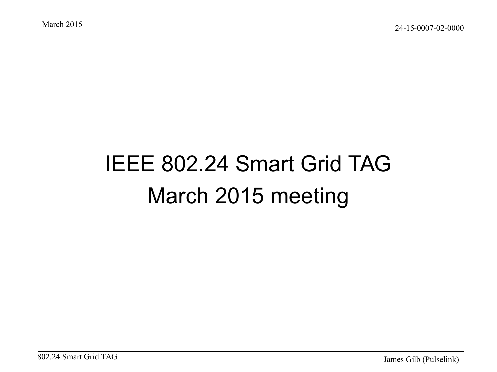#### IEEE 802.24 Smart Grid TAG March 2015 meeting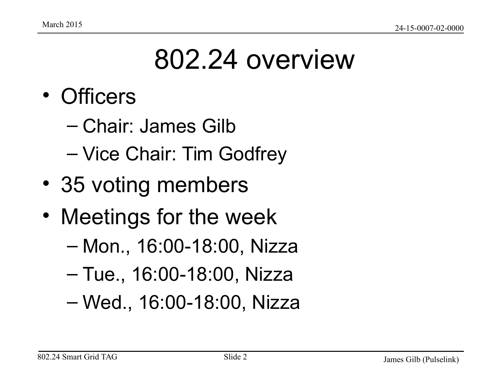### 802.24 overview

- Officers
	- Chair: James Gilb
	- Vice Chair: Tim Godfrey
- 35 voting members
- Meetings for the week
	- Mon., 16:00-18:00, Nizza
	- Tue., 16:00-18:00, Nizza
	- Wed., 16:00-18:00, Nizza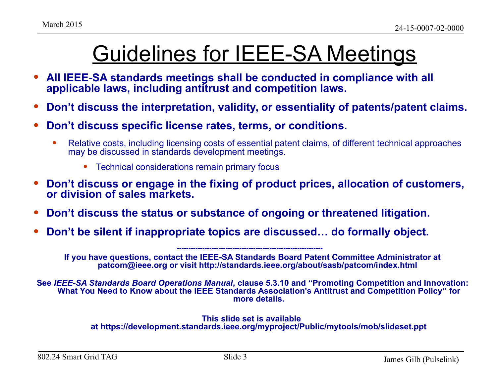#### Guidelines for IEEE-SA Meetings

- **All IEEE-SA standards meetings shall be conducted in compliance with all applicable laws, including antitrust and competition laws.**
- **Don't discuss the interpretation, validity, or essentiality of patents/patent claims.**
- **Don't discuss specific license rates, terms, or conditions.**
	- Relative costs, including licensing costs of essential patent claims, of different technical approaches may be discussed in standards development meetings.
		- Technical considerations remain primary focus
- **Don't discuss or engage in the fixing of product prices, allocation of customers, or division of sales markets.**
- **Don't discuss the status or substance of ongoing or threatened litigation.**
- **Don't be silent if inappropriate topics are discussed… do formally object.**

**If you have questions, contact the IEEE-SA Standards Board Patent Committee Administrator at patcom@ieee.org or visit http://standards.ieee.org/about/sasb/patcom/index.html** 

**---------------------------------------------------------------** 

**See** *IEEE-SA Standards Board Operations Manual***, clause 5.3.10 and "Promoting Competition and Innovation: What You Need to Know about the IEEE Standards Association's Antitrust and Competition Policy" for more details.**

#### **This slide set is available at https://development.standards.ieee.org/myproject/Public/mytools/mob/slideset.ppt**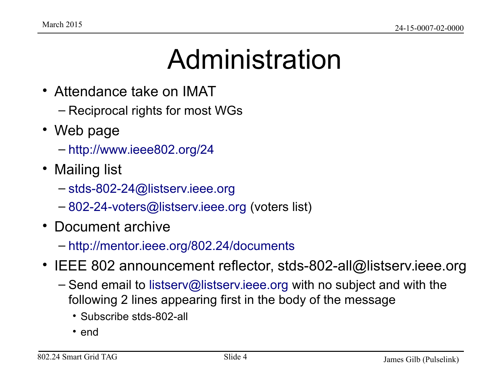#### Administration

- Attendance take on IMAT
	- Reciprocal rights for most WGs
- Web page
	- <http://www.ieee802.org/24>
- Mailing list
	- [stds-802-24@listserv.ieee.org](mailto:stds-802-24@listserv.ieee.org)
	- [802-24-voters@listserv.ieee.org](mailto:802-24-voters@listserv.ieee.org) (voters list)
- Document archive
	- <http://mentor.ieee.org/802.24/documents>
- IEEE 802 announcement reflector, stds-802-all@listserv.ieee.org
	- Send email to [listserv@listserv.ieee.org](mailto:listserv@listserv.ieee.org) with no subject and with the following 2 lines appearing first in the body of the message
		- Subscribe stds-802-all
		- end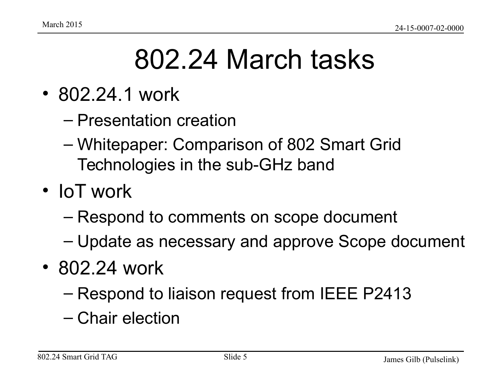### 802.24 March tasks

- 802.24.1 work
	- Presentation creation
	- Whitepaper: Comparison of 802 Smart Grid Technologies in the sub-GHz band
- IoT work
	- Respond to comments on scope document
	- Update as necessary and approve Scope document
- 802.24 work
	- Respond to liaison request from IEEE P2413
	- Chair election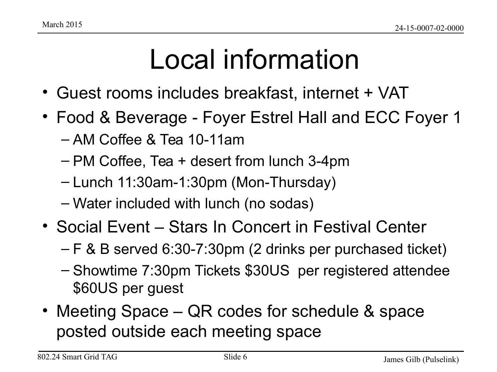## Local information

- Guest rooms includes breakfast, internet + VAT
- Food & Beverage Foyer Estrel Hall and ECC Foyer 1
	- AM Coffee & Tea 10-11am
	- PM Coffee, Tea + desert from lunch 3-4pm
	- Lunch 11:30am-1:30pm (Mon-Thursday)
	- Water included with lunch (no sodas)
- Social Event Stars In Concert in Festival Center
	- F & B served 6:30-7:30pm (2 drinks per purchased ticket)
	- Showtime 7:30pm Tickets \$30US per registered attendee \$60US per guest
- Meeting Space QR codes for schedule & space posted outside each meeting space